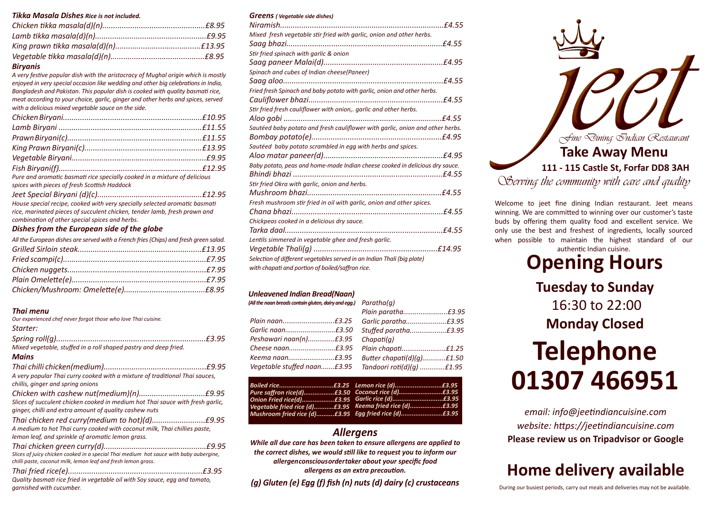### *Tikka Masala Dishes Rice is not included.*

### *Biryanis*

*A very festive popular dish with the aristocracy of Mughal origin which is mostly enjoyed in very special occasion like wedding and other big celebrations in India, Bangladesh and Pakistan. This popular dish is cooked with quality basmati rice, meat according to your choice, garlic, ginger and other herbs and spices, served with a delicious mixed vegetable sauce on the side.*

| Pure and aromatic basmati rice specially cooked in a mixture of delicious<br>spices with pieces of fresh Scottish Haddock |  |
|---------------------------------------------------------------------------------------------------------------------------|--|

*Jeet Special Biryani (d)(c).................................................£12.95 House special recipe, cooked with very specially selected aromatic basmati rice, marinated pieces of succulent chicken, tender lamb, fresh prawn and combination of other special spices and herbs.* 

### *Dishes from the European side of the globe*

| All the European dishes are served with a French fries (Chips) and fresh green salad. |  |
|---------------------------------------------------------------------------------------|--|
|                                                                                       |  |
|                                                                                       |  |
|                                                                                       |  |
|                                                                                       |  |
|                                                                                       |  |

### *Thai menu*

| Our experienced chef never forgot those who love Thai cuisine.                                                                                          |
|---------------------------------------------------------------------------------------------------------------------------------------------------------|
| Starter:                                                                                                                                                |
| .£3.95<br>Mixed vegetable, stuffed in a roll shaped pastry and deep fried.                                                                              |
| Mains                                                                                                                                                   |
| A very popular Thai curry cooked with a mixture of traditional Thai sauces,<br>chillis, ginger and spring onions                                        |
| Slices of succulent chicken cooked in medium hot Thai sauce with fresh garlic,<br>ginger, chilli and extra amount of quality cashew nuts                |
| A medium to hot Thai curry cooked with coconut milk, Thai chillies paste,<br>lemon leaf, and sprinkle of aromatic lemon grass.                          |
| Slices of juicy chicken cooked in a special Thai medium hot sauce with baby aubergine,<br>chilli paste, coconut milk, lemon leaf and fresh lemon grass. |
| £3.95<br>Quality basmati rice fried in vegetable oil with Soy sauce, egg and tomato,<br>garnished with cucumber.                                        |

### *Greens ( Vegetable side dishes)*

| Mixed fresh vegetable stir fried with garlic, onion and other herbs.          |
|-------------------------------------------------------------------------------|
|                                                                               |
| Stir fried spinach with garlic & onion                                        |
|                                                                               |
| Spinach and cubes of Indian cheese(Paneer)                                    |
|                                                                               |
| Fried fresh Spinach and baby potato with garlic, onion and other herbs.       |
|                                                                               |
| Stir fried fresh cauliflower with onion,. garlic and other herbs.             |
|                                                                               |
| Sautéed baby potato and fresh cauliflower with garlic, onion and other herbs. |
|                                                                               |
| Sautéed baby potato scrambled in egg with herbs and spices.                   |
|                                                                               |
| Baby potato, peas and home-made Indian cheese cooked in delicious dry sauce.  |
|                                                                               |
| Stir fried Okra with garlic, onion and herbs.                                 |
|                                                                               |
| Fresh mushroom stir fried in oil with garlic, onion and other spices.         |
|                                                                               |
| Chickpeas cooked in a delicious dry sauce.                                    |
|                                                                               |
| Lentils simmered in vegetable ghee and fresh garlic.                          |
|                                                                               |
| Selection of different vegetables served in an Indian Thali (big plate)       |
| with chapati and portion of boiled/saffron rice.                              |

### *Unleavened Indian Bread(Naan)*

| (All the naan breads contain gluten, dairy and egg.) $Paratha(a)$ |                              |
|-------------------------------------------------------------------|------------------------------|
|                                                                   |                              |
|                                                                   |                              |
| Garlic naan£3.50                                                  | Stuffed paratha£3.95         |
| Peshawari naan(n)£3.95                                            | Chapati(a)                   |
|                                                                   |                              |
| Keema naan£3.95                                                   | Butter chapati(d)(q) $£1.50$ |
| Vegetable stuffed naan£3.95                                       | Tandoori roti(d)(g) £1.95    |

|  | Mushroom fried rice (d)£3.95 Egg fried rice (d)£3.95 |
|--|------------------------------------------------------|
|  |                                                      |

## *Allergens*

*While all due care has been taken to ensure allergens are applied to the correct dishes, we would still like to request you to inform our allergenconsciousordertaker about your specific food allergens as an extra precaution.*

*(g) Gluten (e) Egg (f) fish (n) nuts (d) dairy (c) crustaceans*



Welcome to jeet fine dining Indian restaurant. Jeet means winning. We are committed to winning over our customer's taste buds by offering them quality food and excellent service. We only use the best and freshest of ingredients, locally sourced when possible to maintain the highest standard of our

authentic Indian cuisine.

**Opening Hours Tuesday to Sunday** 16:30 to 22:00 **Monday Closed Telephone 01307 466951**

*Egg fried rice (d).......................£3.95 email: info@jeetindiancuisine.com website: https://jeetindiancuisine.com* **Please review us on Tripadvisor or Google**

# **Home delivery available**

During our busiest periods, carry out meals and deliveries may not be available.